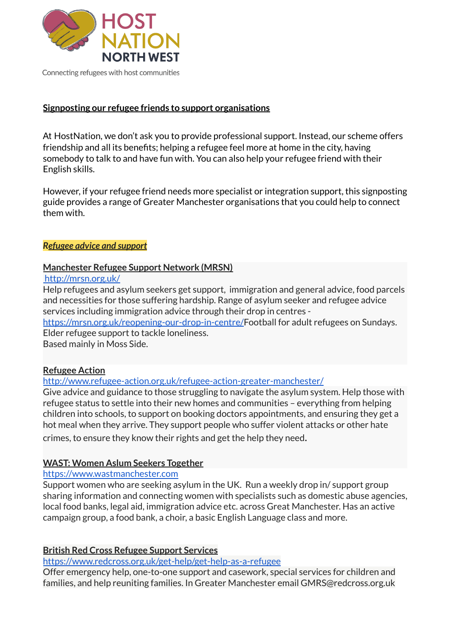

Connecting refugees with host communities

### **Signposting our refugee friends to support organisations**

At HostNation, we don't ask you to provide professional support. Instead, our scheme offers friendship and all its benefits; helping a refugee feel more at home in the city, having somebody to talk to and have fun with. You can also help your refugee friend with their English skills.

However, if your refugee friend needs more specialist or integration support, this signposting guide provides a range of Greater Manchester organisations that you could help to connect them with.

#### *Refugee advice and support*

### **Manchester Refugee Support Network (MRSN)**

<http://mrsn.org.uk/>

Help refugees and asylum seekers get support, immigration and general advice, food parcels and necessities for those suffering hardship. Range of asylum seeker and refugee advice services including immigration advice through their drop in centres <https://mrsn.org.uk/reopening-our-drop-in-centre/>Football for adult refugees on Sundays. Elder refugee support to tackle loneliness. Based mainly in Moss Side.

# **Refugee Action**

[http://www.refugee-action.org.uk/refugee-action-greater-manchester](http://www.refugee-action.org.uk/refugee-action-greater-manchester/)/

Give advice and guidance to those struggling to navigate the asylum system. Help those with refugee status to settle into their new homes and communities – everything from helping children into schools, to support on booking doctors appointments, and ensuring they get a hot meal when they arrive. They support people who suffer violent attacks or other hate

crimes, to ensure they know their rights and get the help they need.

# **WAST: Women Aslum Seekers Together**

[https://www.wastmanchester.com](https://www.wastmanchester.com/)

Support women who are seeking asylum in the UK. Run a weekly drop in/ support group sharing information and connecting women with specialists such as domestic abuse agencies, local food banks, legal aid, immigration advice etc. across Great Manchester. Has an active campaign group, a food bank, a choir, a basic English Language class and more.

# **British Red Cross Refugee Support Services**

<https://www.redcross.org.uk/get-help/get-help-as-a-refugee>

Offer emergency help, one-to-one support and casework, special services for children and families, and help reuniting families. In Greater Manchester email [GMRS@redcross.org.uk](mailto:GMRS@redcross.org.uk)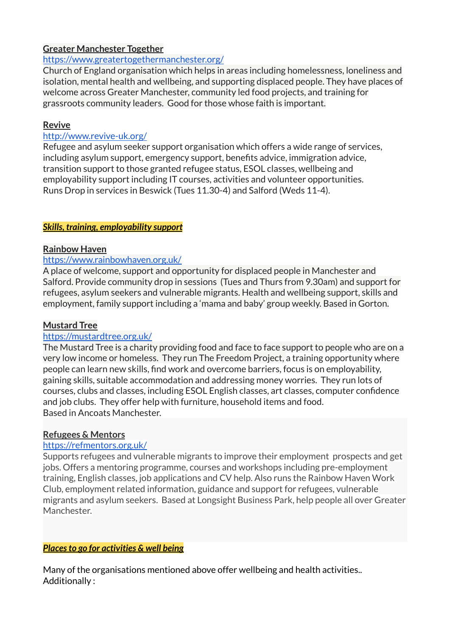# **Greater Manchester Together**

### <https://www.greatertogethermanchester.org/>

Church of England organisation which helps in areas including homelessness, loneliness and isolation, mental health and wellbeing, and supporting displaced people. They have places of welcome across Greater Manchester, community led food projects, and training for grassroots community leaders. Good for those whose faith is important.

# **Revive**

# <http://www.revive-uk.org/>

Refugee and asylum seeker support organisation which offers a wide range of services, including asylum support, emergency support, benefits advice, immigration advice, transition support to those granted refugee status, ESOL classes, wellbeing and employability support including IT courses, activities and volunteer opportunities. Runs Drop in services in Beswick (Tues 11.30-4) and Salford (Weds 11-4).

# *Skills, training, employability support*

# **Rainbow Haven**

### <https://www.rainbowhaven.org.uk/>

A place of welcome, support and opportunity for displaced people in Manchester and Salford. Provide community drop in sessions (Tues and Thurs from 9.30am) and support for refugees, asylum seekers and vulnerable migrants. Health and wellbeing support, skills and employment, family support including a 'mama and baby' group weekly. Based in Gorton.

# **Mustard Tree**

#### <https://mustardtree.org.uk/>

The Mustard Tree is a charity providing food and face to face support to people who are on a very low income or homeless. They run The Freedom Project, a training opportunity where people can learn new skills, find work and overcome barriers, focus is on employability, gaining skills, suitable accommodation and addressing money worries. They run lots of courses, clubs and classes, including ESOL English classes, art classes, computer confidence and job clubs. They offer help with furniture, household items and food. Based in Ancoats Manchester.

#### **Refugees & Mentors**

#### <https://refmentors.org.uk/>

Supports refugees and vulnerable migrants to improve their employment prospects and get jobs. Offers a mentoring programme, courses and workshops including pre-employment training, English classes, job applications and CV help. Also runs the Rainbow Haven Work Club, employment related information, guidance and support for refugees, vulnerable migrants and asylum seekers. Based at Longsight Business Park, help people all over Greater Manchester.

# *Placesto go for activities & well being*

Many of the organisations mentioned above offer wellbeing and health activities.. Additionally :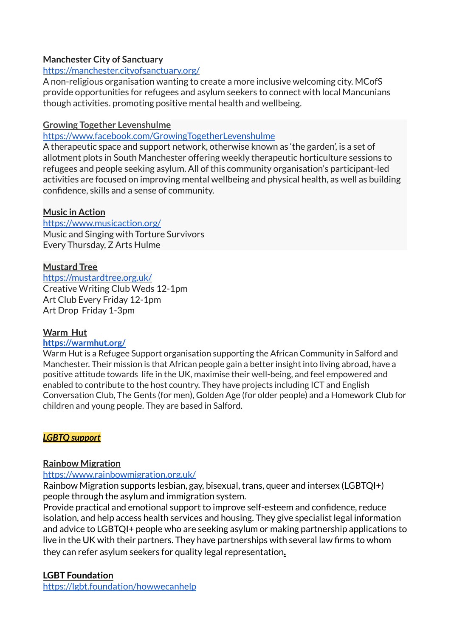# **Manchester City of Sanctuary**

### <https://manchester.cityofsanctuary.org/>

A non-religious organisation wanting to create a more inclusive welcoming city. MCofS provide opportunities for refugees and asylum seekers to connect with local Mancunians though activities. promoting positive mental health and wellbeing.

### **Growing Together Levenshulme**

### https://www.facebook.com/GrowingTogetherLevenshulme

A therapeutic space and support network, otherwise known as 'the garden', is a set of allotment plots in South Manchester offering weekly therapeutic horticulture sessions to refugees and people seeking asylum. All of this community organisation's participant-led activities are focused on improving mental wellbeing and physical health, as well as building confidence, skills and a sense of community.

### **Music in Action**

[https://www.musicaction.org/](https://www.musicaction.org/#) Music and Singing with Torture Survivors Every Thursday, Z Arts Hulme

### **Mustard Tree**

<https://mustardtree.org.uk/> Creative Writing Club Weds 12-1pm Art Club Every Friday 12-1pm Art Drop Friday 1-3pm

# **Warm Hut**

#### **https://warmhut.org/**

Warm Hut is a Refugee Support organisation supporting the African Community in Salford and Manchester. Their mission is that African people gain a better insight into living abroad, have a positive attitude towards life in the UK, maximise their well-being, and feel empowered and enabled to contribute to the host country. They have projects including ICT and English Conversation Club, The Gents (for men), Golden Age (for older people) and a Homework Club for children and young people. They are based in Salford.

# *LGBTQ support*

# **Rainbow Migration**

#### <https://www.rainbowmigration.org.uk/>

Rainbow Migration supports lesbian, gay, bisexual, trans, queer and intersex (LGBTQI+) people through the asylum and immigration system.

Provide practical and emotional support to improve self-esteem and confidence, reduce isolation, and help access health services and housing. They give specialist legal information and advice to LGBTQI+ people who are seeking asylum or making partnership applications to live in the UK with their partners. They have partnerships with several law firms to whom they can refer asylum seekers for quality legal representation*.*

# **LGBT Foundation**

https://lgbt.foundation/howwecanhelp